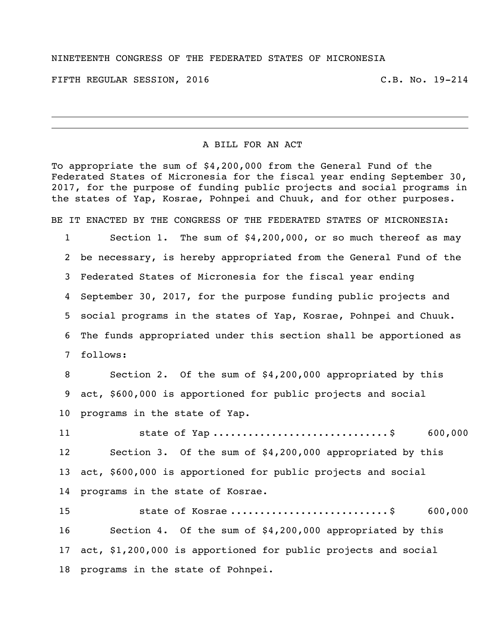## NINETEENTH CONGRESS OF THE FEDERATED STATES OF MICRONESIA

FIFTH REGULAR SESSION, 2016 C.B. No. 19-214

## A BILL FOR AN ACT

To appropriate the sum of \$4,200,000 from the General Fund of the Federated States of Micronesia for the fiscal year ending September 30, 2017, for the purpose of funding public projects and social programs in the states of Yap, Kosrae, Pohnpei and Chuuk, and for other purposes.

BE IT ENACTED BY THE CONGRESS OF THE FEDERATED STATES OF MICRONESIA:

 Section 1. The sum of \$4,200,000, or so much thereof as may be necessary, is hereby appropriated from the General Fund of the Federated States of Micronesia for the fiscal year ending September 30, 2017, for the purpose funding public projects and social programs in the states of Yap, Kosrae, Pohnpei and Chuuk. The funds appropriated under this section shall be apportioned as follows:

 Section 2. Of the sum of \$4,200,000 appropriated by this act, \$600,000 is apportioned for public projects and social programs in the state of Yap.

11 5tate of Yap .................................\$ 600,000 Section 3. Of the sum of \$4,200,000 appropriated by this act, \$600,000 is apportioned for public projects and social programs in the state of Kosrae.

15 5tate of Kosrae ...............................\$ 600,000 Section 4. Of the sum of \$4,200,000 appropriated by this act, \$1,200,000 is apportioned for public projects and social programs in the state of Pohnpei.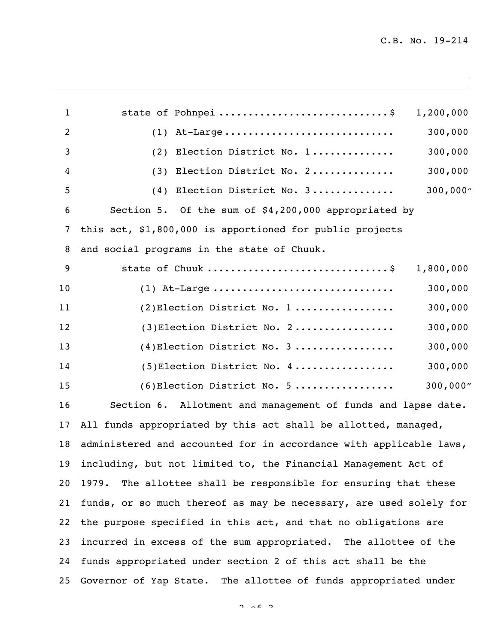| $\mathbf{1}$   | state of Pohnpei \$                                                | 1,200,000 |
|----------------|--------------------------------------------------------------------|-----------|
| $\overline{c}$ | $(1)$ At-Large                                                     | 300,000   |
| 3              | (2) Election District No. 1                                        | 300,000   |
| 4              | (3) Election District No. 2                                        | 300,000   |
| 5              | (4) Election District No. 3                                        | 300,000'' |
| 6              | Section 5. Of the sum of \$4,200,000 appropriated by               |           |
| 7              | this act, \$1,800,000 is apportioned for public projects           |           |
| 8              | and social programs in the state of Chuuk.                         |           |
| 9              | state of Chuuk \$                                                  | 1,800,000 |
| 10             | $(1)$ At-Large                                                     | 300,000   |
| 11             | $(2)$ Election District No. 1                                      | 300,000   |
| 12             | $(3)$ Election District No. 2                                      | 300,000   |
| 13             | $(4)$ Election District No. 3                                      | 300,000   |
| 14             | $(5)$ Election District No. 4                                      | 300,000   |
| 15             | $(6)$ Election District No. 5                                      | 300,000"  |
| 16             | Section 6. Allotment and management of funds and lapse date.       |           |
| 17             | All funds appropriated by this act shall be allotted, managed,     |           |
| 18             | administered and accounted for in accordance with applicable laws, |           |
| 19             | including, but not limited to, the Financial Management Act of     |           |
| 20             | The allottee shall be responsible for ensuring that these<br>1979. |           |
| 21             | funds, or so much thereof as may be necessary, are used solely for |           |
| 22             | the purpose specified in this act, and that no obligations are     |           |
| 23             | incurred in excess of the sum appropriated. The allottee of the    |           |
| 24             | funds appropriated under section 2 of this act shall be the        |           |
| 25             | Governor of Yap State. The allottee of funds appropriated under    |           |
|                |                                                                    |           |

 $2 \times 2$